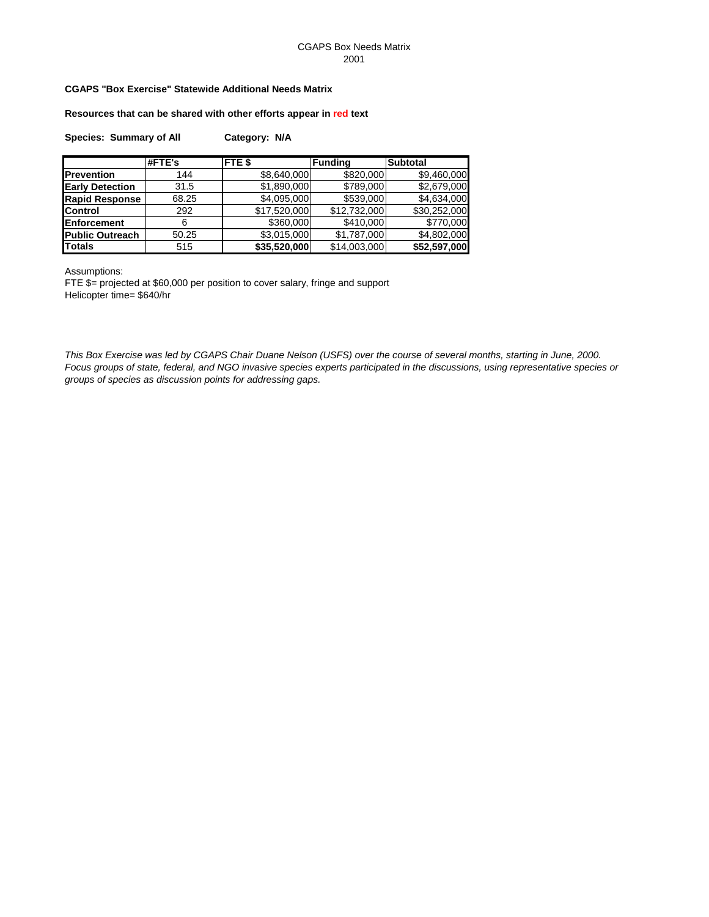## CGAPS Box Needs Matrix 2001

# **CGAPS "Box Exercise" Statewide Additional Needs Matrix**

**Resources that can be shared with other efforts appear in red text**

|  | <b>Species: Summary of All</b> | Category: N/A |  |
|--|--------------------------------|---------------|--|
|--|--------------------------------|---------------|--|

|                        | #FTE's | FTE <sub>\$</sub> | <b>Funding</b> | <b>Subtotal</b> |
|------------------------|--------|-------------------|----------------|-----------------|
| <b>Prevention</b>      | 144    | \$8,640,000       | \$820,000      | \$9,460,000     |
| <b>Early Detection</b> | 31.5   | \$1,890,000       | \$789,000      | \$2,679,000     |
| <b>Rapid Response</b>  | 68.25  | \$4,095,000       | \$539,000      | \$4,634,000     |
| <b>Control</b>         | 292    | \$17,520,000      | \$12,732,000   | \$30,252,000    |
| <b>Enforcement</b>     | 6      | \$360,000         | \$410,000      | \$770,000       |
| <b>Public Outreach</b> | 50.25  | \$3,015,000       | \$1,787,000    | \$4,802,000     |
| <b>Totals</b>          | 515    | \$35,520,000      | \$14,003,000   | \$52,597,000    |

Assumptions:

FTE \$= projected at \$60,000 per position to cover salary, fringe and support Helicopter time= \$640/hr

*This Box Exercise was led by CGAPS Chair Duane Nelson (USFS) over the course of several months, starting in June, 2000. Focus groups of state, federal, and NGO invasive species experts participated in the discussions, using representative species or groups of species as discussion points for addressing gaps.*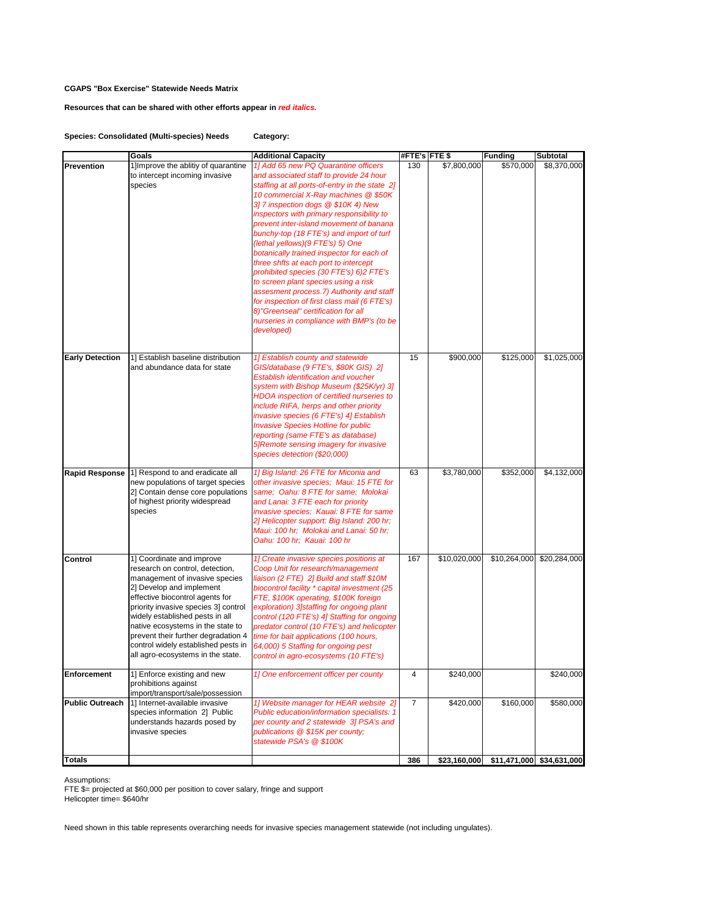## **Resources that can be shared with other efforts appear in** *red italics.*

## **Species: Consolidated (Multi-species) Needs Category:**

|                        | Goals                                                                                                                                                                                                                                                                                                                                                                                            | <b>Additional Capacity</b>                                                                                                                                                                                                                                                                                                                                                                                                                                                                                                                                                                                                                                                                                                                                        | #FTE's FTE \$  |              | <b>Funding</b> | <b>Subtotal</b>           |
|------------------------|--------------------------------------------------------------------------------------------------------------------------------------------------------------------------------------------------------------------------------------------------------------------------------------------------------------------------------------------------------------------------------------------------|-------------------------------------------------------------------------------------------------------------------------------------------------------------------------------------------------------------------------------------------------------------------------------------------------------------------------------------------------------------------------------------------------------------------------------------------------------------------------------------------------------------------------------------------------------------------------------------------------------------------------------------------------------------------------------------------------------------------------------------------------------------------|----------------|--------------|----------------|---------------------------|
| Prevention             | 1] Improve the ablitiy of quarantine<br>to intercept incoming invasive<br>species                                                                                                                                                                                                                                                                                                                | 1] Add 65 new PQ Quarantine officers<br>and associated staff to provide 24 hour<br>staffing at all ports-of-entry in the state 2]<br>10 commercial X-Ray machines @ \$50K<br>3] 7 inspection dogs @ \$10K 4) New<br>inspectors with primary responsibility to<br>prevent inter-island movement of banana<br>bunchy-top (18 FTE's) and import of turf<br>(lethal yellows)(9 FTE's) 5) One<br>botanically trained inspector for each of<br>three shfts at each port to intercept<br>prohibited species (30 FTE's) 6)2 FTE's<br>to screen plant species using a risk<br>assesment process. 7) Authority and staff<br>for inspection of first class mail (6 FTE's)<br>8) "Greenseal" certification for all<br>nurseries in compliance with BMP's (to be<br>developed) | 130            | \$7,800,000  | \$570,000      | \$8,370,000               |
| <b>Early Detection</b> | 1] Establish baseline distribution<br>and abundance data for state                                                                                                                                                                                                                                                                                                                               | 1] Establish county and statewide<br>GIS/database (9 FTE's, \$80K GIS) 2]<br>Establish identification and voucher<br>system with Bishop Museum (\$25K/yr) 31<br>HDOA inspection of certified nurseries to<br>include RIFA, herps and other priority<br>invasive species (6 FTE's) 4] Establish<br><b>Invasive Species Hotline for public</b><br>reporting (same FTE's as database)<br>5]Remote sensing imagery for invasive<br>species detection (\$20,000)                                                                                                                                                                                                                                                                                                       | 15             | \$900,000    | \$125,000      | \$1,025,000               |
| <b>Rapid Response</b>  | 1] Respond to and eradicate all<br>new populations of target species<br>2] Contain dense core populations<br>of highest priority widespread<br>species                                                                                                                                                                                                                                           | 1] Big Island: 26 FTE for Miconia and<br>other invasive species; Maui: 15 FTE for<br>same; Oahu: 8 FTE for same; Molokai<br>and Lanai: 3 FTE each for priority<br>invasive species; Kauai: 8 FTE for same<br>2] Helicopter support: Big Island: 200 hr;<br>Maui: 100 hr; Molokai and Lanai: 50 hr;<br>Oahu: 100 hr; Kauai: 100 hr                                                                                                                                                                                                                                                                                                                                                                                                                                 | 63             | \$3,780,000  | \$352,000      | \$4,132,000               |
| Control                | 1] Coordinate and improve<br>research on control, detection,<br>management of invasive species<br>2] Develop and implement<br>effective biocontrol agents for<br>priority invasive species 3] control<br>widely established pests in all<br>native ecosystems in the state to<br>prevent their further degradation 4<br>control widely established pests in<br>all agro-ecosystems in the state. | 1] Create invasive species positions at<br>Coop Unit for research/management<br>liaison (2 FTE) 2] Build and staff \$10M<br>biocontrol facility * capital investment (25<br>FTE, \$100K operating, \$100K foreign<br>exploration) 3] staffing for ongoing plant<br>control (120 FTE's) 4] Staffing for ongoing<br>predator control (10 FTE's) and helicopter<br>time for bait applications (100 hours,<br>64,000) 5 Staffing for ongoing pest<br>control in agro-ecosystems (10 FTE's)                                                                                                                                                                                                                                                                            | 167            | \$10,020,000 | \$10,264,000   | \$20,284,000              |
| Enforcement            | 1] Enforce existing and new<br>prohibitions against<br>import/transport/sale/possession                                                                                                                                                                                                                                                                                                          | 1] One enforcement officer per county                                                                                                                                                                                                                                                                                                                                                                                                                                                                                                                                                                                                                                                                                                                             | 4              | \$240,000    |                | \$240,000                 |
| <b>Public Outreach</b> | 1] Internet-available invasive<br>species information 2] Public<br>understands hazards posed by<br>invasive species                                                                                                                                                                                                                                                                              | 1] Website manager for HEAR website 2]<br>Public education/information specialists: 1<br>per county and 2 statewide 3] PSA's and<br>publications @ \$15K per county;<br>statewide PSA's @ \$100K                                                                                                                                                                                                                                                                                                                                                                                                                                                                                                                                                                  | $\overline{7}$ | \$420,000    | \$160,000      | \$580,000                 |
| Totals                 |                                                                                                                                                                                                                                                                                                                                                                                                  |                                                                                                                                                                                                                                                                                                                                                                                                                                                                                                                                                                                                                                                                                                                                                                   | 386            | \$23,160,000 |                | \$11,471,000 \$34,631,000 |

Assumptions:

FTE \$= projected at \$60,000 per position to cover salary, fringe and support

Helicopter time= \$640/hr

Need shown in this table represents overarching needs for invasive species management statewide (not including ungulates).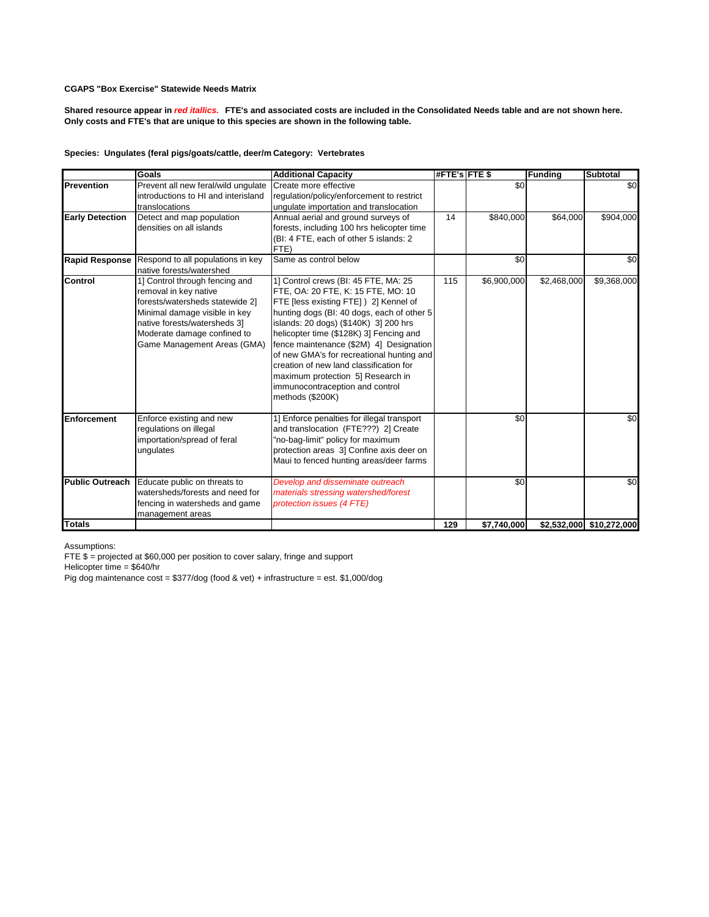**Shared resource appear in** *red itallics.* **FTE's and associated costs are included in the Consolidated Needs table and are not shown here. Only costs and FTE's that are unique to this species are shown in the following table.**

## Species: Ungulates (feral pigs/goats/cattle, deer/m Category: Vertebrates

|                        | Goals                               | <b>Additional Capacity</b>                 | <b>#FTE's FTE \$</b> |             | <b>Funding</b> | <b>Subtotal</b>          |
|------------------------|-------------------------------------|--------------------------------------------|----------------------|-------------|----------------|--------------------------|
| Prevention             | Prevent all new feral/wild ungulate | Create more effective                      |                      | \$0         |                | \$0                      |
|                        | introductions to HI and interisland | regulation/policy/enforcement to restrict  |                      |             |                |                          |
|                        | translocations                      | ungulate importation and translocation     |                      |             |                |                          |
| <b>Early Detection</b> | Detect and map population           | Annual aerial and ground surveys of        | 14                   | \$840,000   | \$64,000       | \$904,000                |
|                        | densities on all islands            | forests, including 100 hrs helicopter time |                      |             |                |                          |
|                        |                                     | (BI: 4 FTE, each of other 5 islands: 2     |                      |             |                |                          |
|                        |                                     | FTE)                                       |                      |             |                |                          |
| <b>Rapid Response</b>  | Respond to all populations in key   | Same as control below                      |                      | \$0         |                | \$0                      |
|                        | native forests/watershed            |                                            |                      |             |                |                          |
| Control                | 1] Control through fencing and      | 1] Control crews (BI: 45 FTE, MA: 25       | 115                  | \$6,900,000 | \$2,468,000    | \$9,368,000              |
|                        | removal in key native               | FTE, OA: 20 FTE, K: 15 FTE, MO: 10         |                      |             |                |                          |
|                        | forests/watersheds statewide 2]     | FTE [less existing FTE] ) 2] Kennel of     |                      |             |                |                          |
|                        | Minimal damage visible in key       | hunting dogs (BI: 40 dogs, each of other 5 |                      |             |                |                          |
|                        | native forests/watersheds 3]        | islands: 20 dogs) (\$140K) 3] 200 hrs      |                      |             |                |                          |
|                        | Moderate damage confined to         | helicopter time (\$128K) 3] Fencing and    |                      |             |                |                          |
|                        | Game Management Areas (GMA)         | fence maintenance (\$2M) 4] Designation    |                      |             |                |                          |
|                        |                                     | of new GMA's for recreational hunting and  |                      |             |                |                          |
|                        |                                     | creation of new land classification for    |                      |             |                |                          |
|                        |                                     | maximum protection 5] Research in          |                      |             |                |                          |
|                        |                                     | immunocontraception and control            |                      |             |                |                          |
|                        |                                     | methods (\$200K)                           |                      |             |                |                          |
| Enforcement            | Enforce existing and new            | 1] Enforce penalties for illegal transport |                      | \$0         |                | \$0                      |
|                        | regulations on illegal              | and translocation (FTE???) 2] Create       |                      |             |                |                          |
|                        | importation/spread of feral         | "no-bag-limit" policy for maximum          |                      |             |                |                          |
|                        | ungulates                           | protection areas 3] Confine axis deer on   |                      |             |                |                          |
|                        |                                     | Maui to fenced hunting areas/deer farms    |                      |             |                |                          |
|                        |                                     |                                            |                      |             |                |                          |
| <b>Public Outreach</b> | Educate public on threats to        | Develop and disseminate outreach           |                      | \$0         |                | \$0                      |
|                        | watersheds/forests and need for     | materials stressing watershed/forest       |                      |             |                |                          |
|                        | fencing in watersheds and game      | protection issues (4 FTE)                  |                      |             |                |                          |
|                        | management areas                    |                                            |                      |             |                |                          |
| <b>Totals</b>          |                                     |                                            | 129                  | \$7,740,000 |                | \$2,532,000 \$10,272,000 |

Assumptions:

FTE  $\frac{1}{5}$  = projected at \$60,000 per position to cover salary, fringe and support

Helicopter time = \$640/hr

Pig dog maintenance cost = \$377/dog (food & vet) + infrastructure = est. \$1,000/dog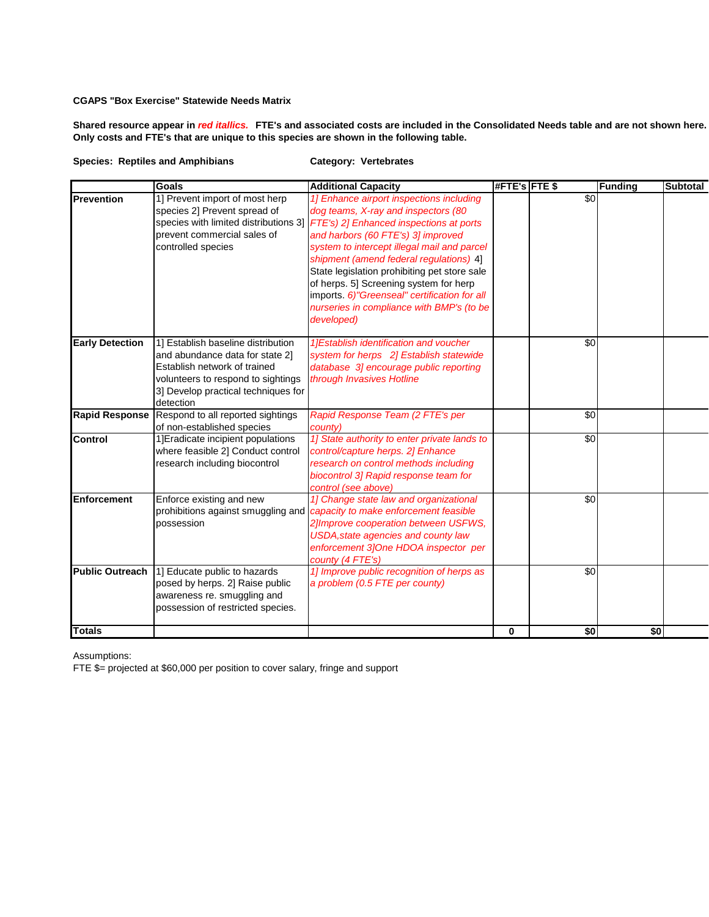**Shared resource appear in** *red itallics.* **FTE's and associated costs are included in the Consolidated Needs table and are not shown here. Only costs and FTE's that are unique to this species are shown in the following table.**

## **Species: Reptiles and Amphibians Category: Vertebrates**

|                        | <b>Goals</b>                                                                                                                                                                                    | <b>Additional Capacity</b>                                                                                                                                                                                                                                                                                                                                                                                                                                                                            | #FTE's FTE \$ |                 | <b>Funding</b> | <b>Subtotal</b> |
|------------------------|-------------------------------------------------------------------------------------------------------------------------------------------------------------------------------------------------|-------------------------------------------------------------------------------------------------------------------------------------------------------------------------------------------------------------------------------------------------------------------------------------------------------------------------------------------------------------------------------------------------------------------------------------------------------------------------------------------------------|---------------|-----------------|----------------|-----------------|
| <b>Prevention</b>      | 1] Prevent import of most herp<br>species 2] Prevent spread of<br>prevent commercial sales of<br>controlled species                                                                             | 1] Enhance airport inspections including<br>dog teams, X-ray and inspectors (80<br>species with limited distributions 3] FTE's) 2] Enhanced inspections at ports<br>and harbors (60 FTE's) 3] improved<br>system to intercept illegal mail and parcel<br>shipment (amend federal regulations) 4]<br>State legislation prohibiting pet store sale<br>of herps. 5] Screening system for herp<br>imports. 6)"Greenseal" certification for all<br>nurseries in compliance with BMP's (to be<br>developed) |               | $\overline{50}$ |                |                 |
| <b>Early Detection</b> | 1] Establish baseline distribution<br>and abundance data for state 21<br>Establish network of trained<br>volunteers to respond to sightings<br>3] Develop practical techniques for<br>detection | 1] Establish identification and voucher<br>system for herps 2] Establish statewide<br>database 3] encourage public reporting<br>through Invasives Hotline                                                                                                                                                                                                                                                                                                                                             |               | \$0             |                |                 |
|                        | Rapid Response Respond to all reported sightings<br>of non-established species                                                                                                                  | Rapid Response Team (2 FTE's per<br>county)                                                                                                                                                                                                                                                                                                                                                                                                                                                           |               | \$0             |                |                 |
| Control                | 1] Eradicate incipient populations<br>where feasible 2] Conduct control<br>research including biocontrol                                                                                        | 1] State authority to enter private lands to<br>control/capture herps. 2] Enhance<br>research on control methods including<br>biocontrol 3] Rapid response team for<br>control (see above)                                                                                                                                                                                                                                                                                                            |               | \$0             |                |                 |
| Enforcement            | Enforce existing and new<br>possession                                                                                                                                                          | 1] Change state law and organizational<br>prohibitions against smuggling and <i>capacity to make enforcement feasible</i><br>2] Improve cooperation between USFWS,<br><b>USDA, state agencies and county law</b><br>enforcement 3]One HDOA inspector per<br>county (4 FTE's)                                                                                                                                                                                                                          |               | \$0             |                |                 |
| <b>Public Outreach</b> | 1] Educate public to hazards<br>posed by herps. 2] Raise public<br>awareness re. smuggling and<br>possession of restricted species.                                                             | 1] Improve public recognition of herps as<br>a problem (0.5 FTE per county)                                                                                                                                                                                                                                                                                                                                                                                                                           |               | \$0             |                |                 |
| <b>Totals</b>          |                                                                                                                                                                                                 |                                                                                                                                                                                                                                                                                                                                                                                                                                                                                                       | 0             | \$0             | \$0            |                 |

Assumptions:

FTE \$= projected at \$60,000 per position to cover salary, fringe and support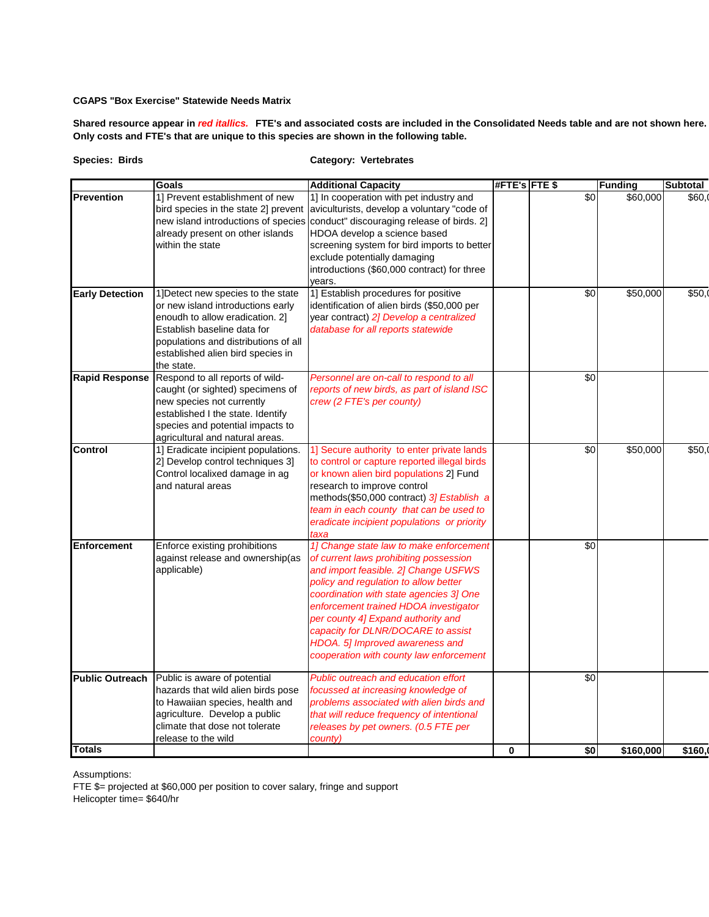**Shared resource appear in** *red itallics.* **FTE's and associated costs are included in the Consolidated Needs table and are not shown here. Only costs and FTE's that are unique to this species are shown in the following table.**

| <b>Species: Birds</b> |  |
|-----------------------|--|
|                       |  |

# **Species: Birds Category: Vertebrates**

|                        | <b>Goals</b>                         | <b>Additional Capacity</b>                   | #FTE's FTE \$ |     | <b>Funding</b> | <b>Subtotal</b> |
|------------------------|--------------------------------------|----------------------------------------------|---------------|-----|----------------|-----------------|
| <b>Prevention</b>      | 1] Prevent establishment of new      | 1] In cooperation with pet industry and      |               | \$0 | \$60,000       | \$60.           |
|                        | bird species in the state 2] prevent | aviculturists, develop a voluntary "code of  |               |     |                |                 |
|                        | new island introductions of species  | conduct" discouraging release of birds. 2]   |               |     |                |                 |
|                        | already present on other islands     | HDOA develop a science based                 |               |     |                |                 |
|                        | within the state                     | screening system for bird imports to better  |               |     |                |                 |
|                        |                                      | exclude potentially damaging                 |               |     |                |                 |
|                        |                                      | introductions (\$60,000 contract) for three  |               |     |                |                 |
|                        |                                      | vears.                                       |               |     |                |                 |
| <b>Early Detection</b> | 1] Detect new species to the state   | 1] Establish procedures for positive         |               | \$0 | \$50,000       | \$50,0          |
|                        | or new island introductions early    | identification of alien birds (\$50,000 per  |               |     |                |                 |
|                        | enoudh to allow eradication. 2]      | year contract) 2] Develop a centralized      |               |     |                |                 |
|                        | Establish baseline data for          | database for all reports statewide           |               |     |                |                 |
|                        | populations and distributions of all |                                              |               |     |                |                 |
|                        | established alien bird species in    |                                              |               |     |                |                 |
|                        | the state.                           |                                              |               |     |                |                 |
| <b>Rapid Response</b>  | Respond to all reports of wild-      | Personnel are on-call to respond to all      |               | \$0 |                |                 |
|                        | caught (or sighted) specimens of     | reports of new birds, as part of island ISC  |               |     |                |                 |
|                        | new species not currently            | crew (2 FTE's per county)                    |               |     |                |                 |
|                        | established I the state. Identify    |                                              |               |     |                |                 |
|                        | species and potential impacts to     |                                              |               |     |                |                 |
|                        | agricultural and natural areas.      |                                              |               |     |                |                 |
| Control                | 1] Eradicate incipient populations.  | 1] Secure authority to enter private lands   |               | \$0 | \$50,000       | \$50,0          |
|                        | 2] Develop control techniques 3]     | to control or capture reported illegal birds |               |     |                |                 |
|                        | Control localixed damage in ag       | or known alien bird populations 2] Fund      |               |     |                |                 |
|                        | and natural areas                    | research to improve control                  |               |     |                |                 |
|                        |                                      | methods(\$50,000 contract) 3] Establish a    |               |     |                |                 |
|                        |                                      | team in each county that can be used to      |               |     |                |                 |
|                        |                                      | eradicate incipient populations or priority  |               |     |                |                 |
|                        |                                      | taxa                                         |               |     |                |                 |
| <b>Enforcement</b>     | Enforce existing prohibitions        | 1] Change state law to make enforcement      |               | \$0 |                |                 |
|                        | against release and ownership(as     | of current laws prohibiting possession       |               |     |                |                 |
|                        | applicable)                          | and import feasible. 2] Change USFWS         |               |     |                |                 |
|                        |                                      | policy and regulation to allow better        |               |     |                |                 |
|                        |                                      | coordination with state agencies 3] One      |               |     |                |                 |
|                        |                                      | enforcement trained HDOA investigator        |               |     |                |                 |
|                        |                                      | per county 4] Expand authority and           |               |     |                |                 |
|                        |                                      | capacity for DLNR/DOCARE to assist           |               |     |                |                 |
|                        |                                      | HDOA. 5] Improved awareness and              |               |     |                |                 |
|                        |                                      | cooperation with county law enforcement      |               |     |                |                 |
|                        |                                      |                                              |               |     |                |                 |
| <b>Public Outreach</b> | Public is aware of potential         | Public outreach and education effort         |               | \$0 |                |                 |
|                        | hazards that wild alien birds pose   | focussed at increasing knowledge of          |               |     |                |                 |
|                        | to Hawaiian species, health and      | problems associated with alien birds and     |               |     |                |                 |
|                        | agriculture. Develop a public        | that will reduce frequency of intentional    |               |     |                |                 |
|                        | climate that dose not tolerate       | releases by pet owners. (0.5 FTE per         |               |     |                |                 |
|                        | release to the wild                  | countv)                                      |               |     |                |                 |
| Totals                 |                                      |                                              | 0             | \$0 | \$160,000      | \$160.          |

Assumptions:

FTE \$= projected at \$60,000 per position to cover salary, fringe and support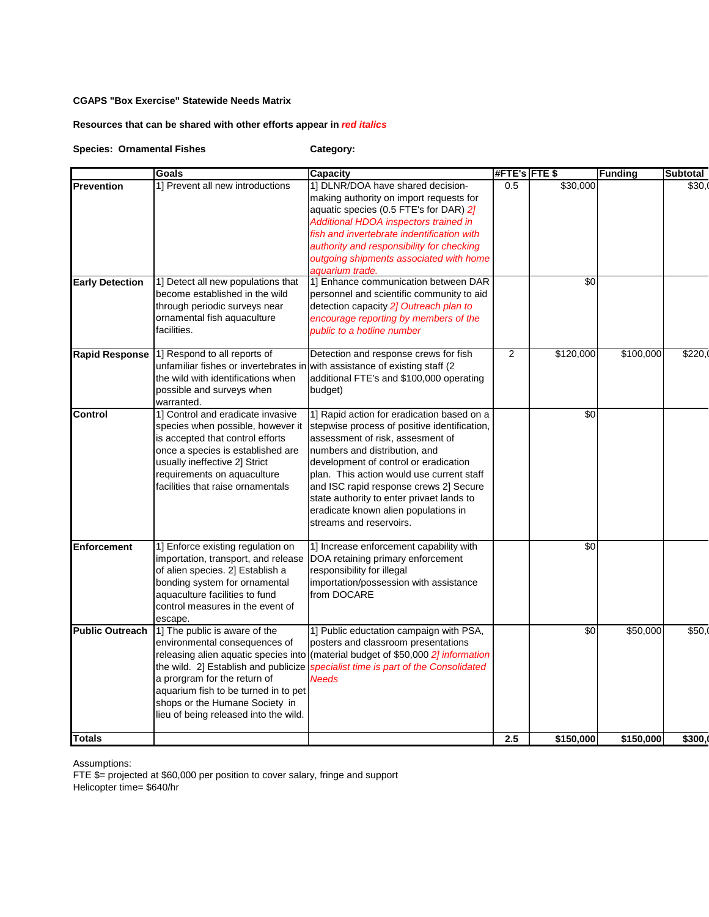# **Resources that can be shared with other efforts appear in** *red italics*

**Species: Ornamental Fishes Category:** 

|                                             | <b>Goals</b>                                                                                                                                                                                                                                              | <b>Capacity</b>                                                                                                                                                                                                                                                                                                                                                                                                 | #FTE's FTE \$ |                 | <b>Funding</b> | <b>Subtotal</b> |
|---------------------------------------------|-----------------------------------------------------------------------------------------------------------------------------------------------------------------------------------------------------------------------------------------------------------|-----------------------------------------------------------------------------------------------------------------------------------------------------------------------------------------------------------------------------------------------------------------------------------------------------------------------------------------------------------------------------------------------------------------|---------------|-----------------|----------------|-----------------|
| <b>Prevention</b><br><b>Early Detection</b> | 1] Prevent all new introductions<br>1] Detect all new populations that                                                                                                                                                                                    | 1] DLNR/DOA have shared decision-<br>making authority on import requests for<br>aquatic species (0.5 FTE's for DAR) 2]<br>Additional HDOA inspectors trained in<br>fish and invertebrate indentification with<br>authority and responsibility for checking<br>outgoing shipments associated with home<br>aquarium trade.<br>1] Enhance communication between DAR                                                | 0.5           | \$30,000<br>\$0 |                | \$30.0          |
|                                             | become established in the wild<br>through periodic surveys near<br>ornamental fish aquaculture<br>facilities.                                                                                                                                             | personnel and scientific community to aid<br>detection capacity 21 Outreach plan to<br>encourage reporting by members of the<br>public to a hotline number                                                                                                                                                                                                                                                      |               |                 |                |                 |
| <b>Rapid Response</b>                       | 1] Respond to all reports of<br>unfamiliar fishes or invertebrates in with assistance of existing staff (2<br>the wild with identifications when<br>possible and surveys when<br>warranted.                                                               | Detection and response crews for fish<br>additional FTE's and \$100,000 operating<br>budget)                                                                                                                                                                                                                                                                                                                    | 2             | \$120,000       | \$100,000      | \$220.0         |
| <b>Control</b>                              | 1] Control and eradicate invasive<br>species when possible, however it<br>is accepted that control efforts<br>once a species is established are<br>usually ineffective 2] Strict<br>requirements on aquaculture<br>facilities that raise ornamentals      | 1] Rapid action for eradication based on a<br>stepwise process of positive identification,<br>assessment of risk, assesment of<br>numbers and distribution, and<br>development of control or eradication<br>plan. This action would use current staff<br>and ISC rapid response crews 2] Secure<br>state authority to enter privaet lands to<br>eradicate known alien populations in<br>streams and reservoirs. |               | \$0             |                |                 |
| <b>Enforcement</b>                          | 1] Enforce existing regulation on<br>importation, transport, and release<br>of alien species. 2] Establish a<br>bonding system for ornamental<br>aquaculture facilities to fund<br>control measures in the event of<br>escape.                            | 1] Increase enforcement capability with<br>DOA retaining primary enforcement<br>responsibility for illegal<br>importation/possession with assistance<br>from DOCARE                                                                                                                                                                                                                                             |               | \$0             |                |                 |
| <b>Public Outreach</b>                      | 1] The public is aware of the<br>environmental consequences of<br>the wild. 2] Establish and publicize<br>a prorgram for the return of<br>aquarium fish to be turned in to pet<br>shops or the Humane Society in<br>lieu of being released into the wild. | 1] Public eductation campaign with PSA,<br>posters and classroom presentations<br>releasing alien aquatic species into (material budget of \$50,000 2] information<br>specialist time is part of the Consolidated<br><b>Needs</b>                                                                                                                                                                               |               | \$0             | \$50,000       | \$50.0          |
| <b>Totals</b>                               |                                                                                                                                                                                                                                                           |                                                                                                                                                                                                                                                                                                                                                                                                                 | 2.5           | \$150,000       | \$150,000      | \$300.          |

Assumptions: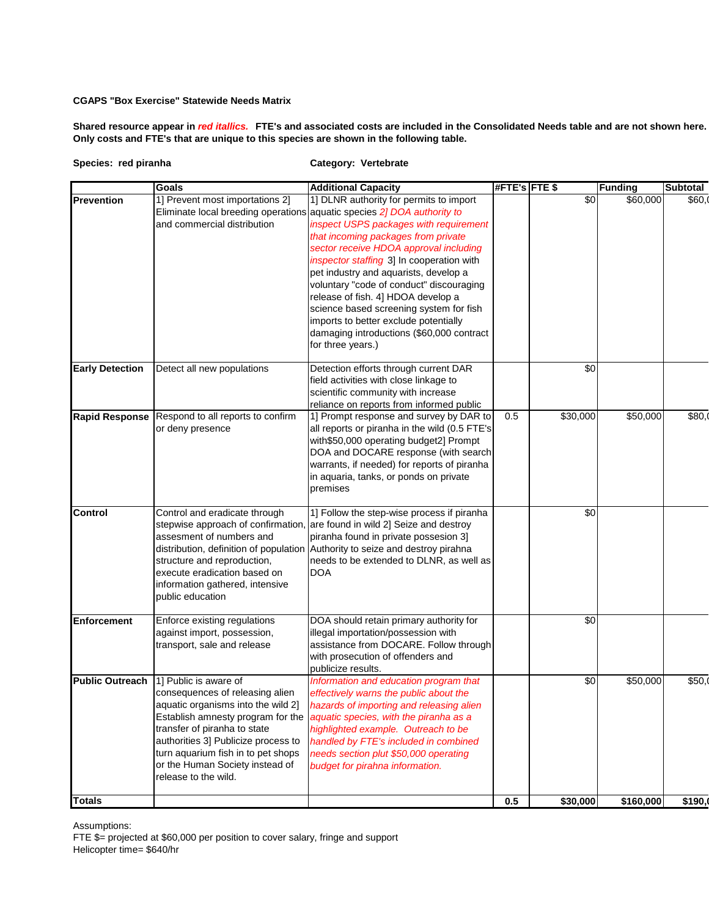**Shared resource appear in** *red itallics.* **FTE's and associated costs are included in the Consolidated Needs table and are not shown here. Only costs and FTE's that are unique to this species are shown in the following table.**

```
Species: red piranha Category: Vertebrate
```

|                        | Goals                                                                                                                                                                                                                                                                                                       | <b>Additional Capacity</b>                                                                                                                                                                                                                                                                                                                                                                                                                                                                                                                                                  | #FTE's FTE \$ |          | <b>Funding</b> | Subtotal |
|------------------------|-------------------------------------------------------------------------------------------------------------------------------------------------------------------------------------------------------------------------------------------------------------------------------------------------------------|-----------------------------------------------------------------------------------------------------------------------------------------------------------------------------------------------------------------------------------------------------------------------------------------------------------------------------------------------------------------------------------------------------------------------------------------------------------------------------------------------------------------------------------------------------------------------------|---------------|----------|----------------|----------|
| <b>Prevention</b>      | 1] Prevent most importations 2]<br>and commercial distribution                                                                                                                                                                                                                                              | 1] DLNR authority for permits to import<br>Eliminate local breeding operations aquatic species 2] DOA authority to<br>inspect USPS packages with requirement<br>that incoming packages from private<br>sector receive HDOA approval including<br>inspector staffing 3] In cooperation with<br>pet industry and aquarists, develop a<br>voluntary "code of conduct" discouraging<br>release of fish. 4] HDOA develop a<br>science based screening system for fish<br>imports to better exclude potentially<br>damaging introductions (\$60,000 contract<br>for three years.) |               | \$0      | \$60,000       | \$60.0   |
| <b>Early Detection</b> | Detect all new populations                                                                                                                                                                                                                                                                                  | Detection efforts through current DAR<br>field activities with close linkage to<br>scientific community with increase<br>reliance on reports from informed public                                                                                                                                                                                                                                                                                                                                                                                                           |               | \$0      |                |          |
| <b>Rapid Response</b>  | Respond to all reports to confirm<br>or deny presence                                                                                                                                                                                                                                                       | 1] Prompt response and survey by DAR to<br>all reports or piranha in the wild (0.5 FTE's<br>with\$50,000 operating budget2] Prompt<br>DOA and DOCARE response (with search<br>warrants, if needed) for reports of piranha<br>in aquaria, tanks, or ponds on private<br>premises                                                                                                                                                                                                                                                                                             | 0.5           | \$30,000 | \$50,000       | \$80,    |
| Control                | Control and eradicate through<br>assesment of numbers and<br>structure and reproduction,<br>execute eradication based on<br>information gathered, intensive<br>public education                                                                                                                             | 1] Follow the step-wise process if piranha<br>stepwise approach of confirmation, are found in wild 2] Seize and destroy<br>piranha found in private possesion 3]<br>distribution, definition of population Authority to seize and destroy pirahna<br>needs to be extended to DLNR, as well as<br><b>DOA</b>                                                                                                                                                                                                                                                                 |               | \$0      |                |          |
| <b>Enforcement</b>     | Enforce existing regulations<br>against import, possession,<br>transport, sale and release                                                                                                                                                                                                                  | DOA should retain primary authority for<br>illegal importation/possession with<br>assistance from DOCARE. Follow through<br>with prosecution of offenders and<br>publicize results.                                                                                                                                                                                                                                                                                                                                                                                         |               | \$0      |                |          |
| <b>Public Outreach</b> | 1] Public is aware of<br>consequences of releasing alien<br>aquatic organisms into the wild 2]<br>Establish amnesty program for the<br>transfer of piranha to state<br>authorities 3] Publicize process to<br>turn aquarium fish in to pet shops<br>or the Human Society instead of<br>release to the wild. | Information and education program that<br>effectively warns the public about the<br>hazards of importing and releasing alien<br>aquatic species, with the piranha as a<br>highlighted example. Outreach to be<br>handled by FTE's included in combined<br>needs section plut \$50,000 operating<br>budget for pirahna information.                                                                                                                                                                                                                                          |               | \$0      | \$50,000       | \$50,    |
| <b>Totals</b>          |                                                                                                                                                                                                                                                                                                             |                                                                                                                                                                                                                                                                                                                                                                                                                                                                                                                                                                             | 0.5           | \$30,000 | \$160,000      | \$190,   |

Assumptions: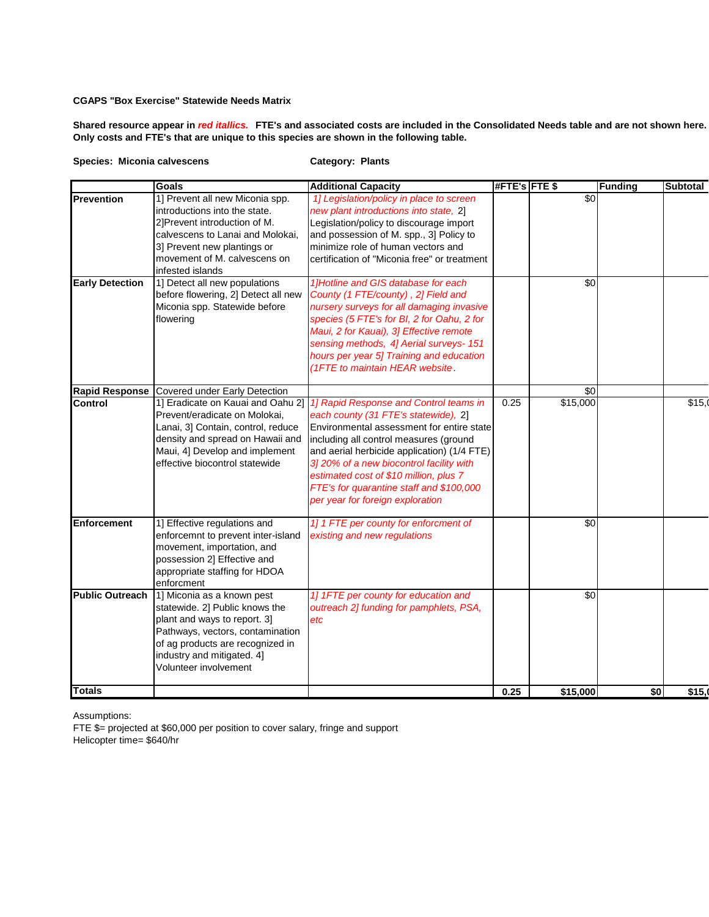**Shared resource appear in** *red itallics.* **FTE's and associated costs are included in the Consolidated Needs table and are not shown here. Only costs and FTE's that are unique to this species are shown in the following table.**

#### **Species: Miconia calvescens Category: Plants**

|                        | Goals                                                                                                                                                                                                                       | <b>Additional Capacity</b>                                                                                                                                                                                                                                                                                                                                                                 | #FTE's FTE \$ |                 | <b>Funding</b> | <b>Subtotal</b> |
|------------------------|-----------------------------------------------------------------------------------------------------------------------------------------------------------------------------------------------------------------------------|--------------------------------------------------------------------------------------------------------------------------------------------------------------------------------------------------------------------------------------------------------------------------------------------------------------------------------------------------------------------------------------------|---------------|-----------------|----------------|-----------------|
| Prevention             | 1] Prevent all new Miconia spp.<br>introductions into the state.<br>2]Prevent introduction of M.<br>calvescens to Lanai and Molokai,<br>3] Prevent new plantings or<br>movement of M. calvescens on<br>infested islands     | 1] Legislation/policy in place to screen<br>new plant introductions into state, 2]<br>Legislation/policy to discourage import<br>and possession of M. spp., 3] Policy to<br>minimize role of human vectors and<br>certification of "Miconia free" or treatment                                                                                                                             |               | $\overline{50}$ |                |                 |
| <b>Early Detection</b> | 1] Detect all new populations<br>before flowering, 2] Detect all new<br>Miconia spp. Statewide before<br>flowering                                                                                                          | 1]Hotline and GIS database for each<br>County (1 FTE/county), 2] Field and<br>nursery surveys for all damaging invasive<br>species (5 FTE's for BI, 2 for Oahu, 2 for<br>Maui, 2 for Kauai), 3] Effective remote<br>sensing methods, 4] Aerial surveys- 151<br>hours per year 5] Training and education<br>(1FTE to maintain HEAR website.                                                 |               | \$0             |                |                 |
| <b>Rapid Response</b>  | Covered under Early Detection                                                                                                                                                                                               |                                                                                                                                                                                                                                                                                                                                                                                            |               | \$0             |                |                 |
| <b>Control</b>         | 1] Eradicate on Kauai and Oahu 2]<br>Prevent/eradicate on Molokai,<br>Lanai, 3] Contain, control, reduce<br>density and spread on Hawaii and<br>Maui, 4] Develop and implement<br>effective biocontrol statewide            | 1] Rapid Response and Control teams in<br>each county (31 FTE's statewide), 2]<br>Environmental assessment for entire state<br>including all control measures (ground<br>and aerial herbicide application) (1/4 FTE)<br>3] 20% of a new biocontrol facility with<br>estimated cost of \$10 million, plus 7<br>FTE's for quarantine staff and \$100,000<br>per year for foreign exploration | 0.25          | \$15,000        |                | \$15,0          |
| <b>Enforcement</b>     | 1] Effective regulations and<br>enforcemnt to prevent inter-island<br>movement, importation, and<br>possession 2] Effective and<br>appropriate staffing for HDOA<br>enforcment                                              | 1] 1 FTE per county for enforcment of<br>existing and new regulations                                                                                                                                                                                                                                                                                                                      |               | \$0             |                |                 |
| <b>Public Outreach</b> | 1] Miconia as a known pest<br>statewide. 2] Public knows the<br>plant and ways to report. 3]<br>Pathways, vectors, contamination<br>of ag products are recognized in<br>industry and mitigated. 4]<br>Volunteer involvement | 1] 1FTE per county for education and<br>outreach 2] funding for pamphlets, PSA,<br>etc                                                                                                                                                                                                                                                                                                     |               | \$0             |                |                 |
| <b>Totals</b>          |                                                                                                                                                                                                                             |                                                                                                                                                                                                                                                                                                                                                                                            | 0.25          | \$15,000        | \$0            | \$15,           |

Assumptions: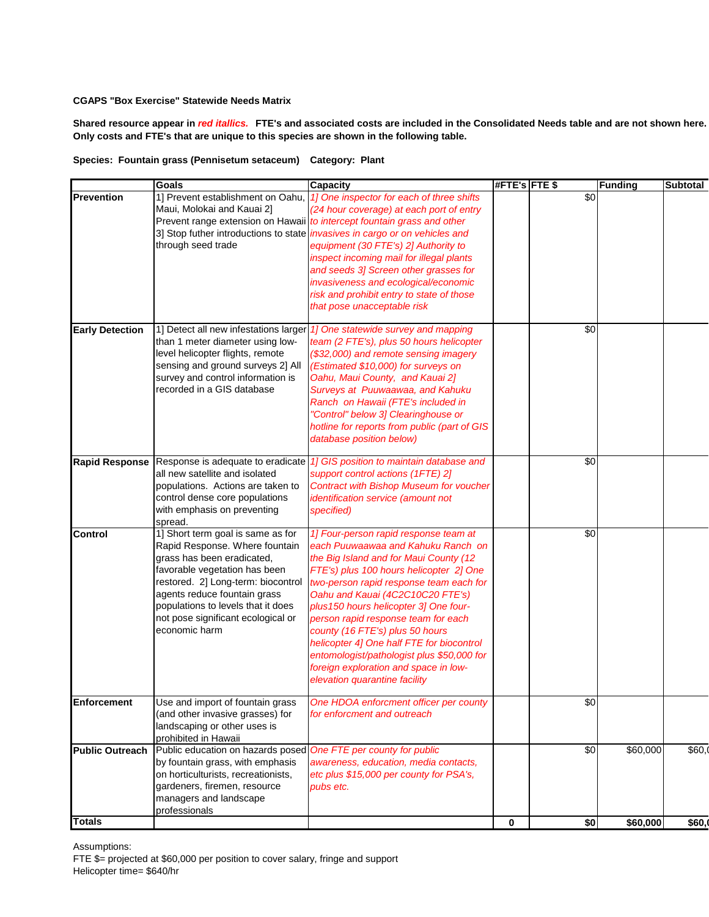**Shared resource appear in** *red itallics.* **FTE's and associated costs are included in the Consolidated Needs table and are not shown here. Only costs and FTE's that are unique to this species are shown in the following table.**

# **Species: Fountain grass (Pennisetum setaceum) Category: Plant**

|                        | <b>Goals</b>                                                                                                                                                                                                                                                                                          | <b>Capacity</b>                                                                                                                                                                                                                                                                                                                                                                                                                                                                                                                          | #FTE's FTE\$ |     | <b>Funding</b> | <b>Subtotal</b> |
|------------------------|-------------------------------------------------------------------------------------------------------------------------------------------------------------------------------------------------------------------------------------------------------------------------------------------------------|------------------------------------------------------------------------------------------------------------------------------------------------------------------------------------------------------------------------------------------------------------------------------------------------------------------------------------------------------------------------------------------------------------------------------------------------------------------------------------------------------------------------------------------|--------------|-----|----------------|-----------------|
| Prevention             | 1] Prevent establishment on Oahu,<br>Maui, Molokai and Kauai 2]<br>through seed trade                                                                                                                                                                                                                 | 1] One inspector for each of three shifts<br>(24 hour coverage) at each port of entry<br>Prevent range extension on Hawaii to intercept fountain grass and other<br>3] Stop futher introductions to state <i>invasives in cargo or on vehicles and</i><br>equipment (30 FTE's) 2] Authority to<br>inspect incoming mail for illegal plants<br>and seeds 3] Screen other grasses for<br>invasiveness and ecological/economic<br>risk and prohibit entry to state of those<br>that pose unacceptable risk                                  |              | \$0 |                |                 |
| <b>Early Detection</b> | 1] Detect all new infestations larger<br>than 1 meter diameter using low-<br>level helicopter flights, remote<br>sensing and ground surveys 2] All<br>survey and control information is<br>recorded in a GIS database                                                                                 | 1] One statewide survey and mapping<br>team (2 FTE's), plus 50 hours helicopter<br>(\$32,000) and remote sensing imagery<br>(Estimated \$10,000) for surveys on<br>Oahu, Maui County, and Kauai 2]<br>Surveys at Puuwaawaa, and Kahuku<br>Ranch on Hawaii (FTE's included in<br>"Control" below 3] Clearinghouse or<br>hotline for reports from public (part of GIS<br>database position below)                                                                                                                                          |              | \$0 |                |                 |
| <b>Rapid Response</b>  | all new satellite and isolated<br>populations. Actions are taken to<br>control dense core populations<br>with emphasis on preventing<br>spread.                                                                                                                                                       | Response is adequate to eradicate 1] GIS position to maintain database and<br>support control actions (1FTE) 2]<br><b>Contract with Bishop Museum for voucher</b><br>identification service (amount not<br>specified)                                                                                                                                                                                                                                                                                                                    |              | \$0 |                |                 |
| <b>Control</b>         | 1] Short term goal is same as for<br>Rapid Response. Where fountain<br>grass has been eradicated,<br>favorable vegetation has been<br>restored. 2] Long-term: biocontrol<br>agents reduce fountain grass<br>populations to levels that it does<br>not pose significant ecological or<br>economic harm | 1] Four-person rapid response team at<br>each Puuwaawaa and Kahuku Ranch on<br>the Big Island and for Maui County (12<br>FTE's) plus 100 hours helicopter 2] One<br>two-person rapid response team each for<br>Oahu and Kauai (4C2C10C20 FTE's)<br>plus 150 hours helicopter 3] One four-<br>person rapid response team for each<br>county (16 FTE's) plus 50 hours<br>helicopter 4] One half FTE for biocontrol<br>entomologist/pathologist plus \$50,000 for<br>foreign exploration and space in low-<br>elevation quarantine facility |              | \$0 |                |                 |
| <b>Enforcement</b>     | Use and import of fountain grass<br>(and other invasive grasses) for<br>landscaping or other uses is<br>prohibited in Hawaii                                                                                                                                                                          | One HDOA enforcment officer per county<br>for enforcment and outreach                                                                                                                                                                                                                                                                                                                                                                                                                                                                    |              | \$0 |                |                 |
| <b>Public Outreach</b> | Public education on hazards posed<br>by fountain grass, with emphasis<br>on horticulturists, recreationists,<br>gardeners, firemen, resource<br>managers and landscape<br>professionals                                                                                                               | One FTE per county for public<br>awareness, education, media contacts,<br>etc plus \$15,000 per county for PSA's,<br>pubs etc.                                                                                                                                                                                                                                                                                                                                                                                                           |              | \$0 | \$60,000       | \$60,0          |
| <b>Totals</b>          |                                                                                                                                                                                                                                                                                                       |                                                                                                                                                                                                                                                                                                                                                                                                                                                                                                                                          | 0            | \$0 | \$60,000       | \$60,           |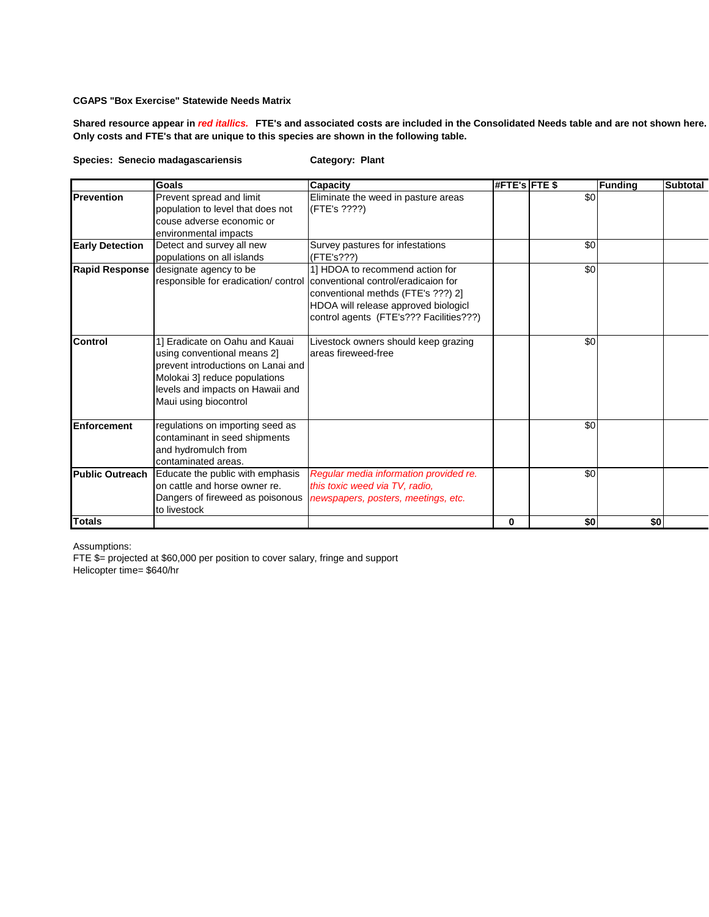**Shared resource appear in** *red itallics.* **FTE's and associated costs are included in the Consolidated Needs table and are not shown here. Only costs and FTE's that are unique to this species are shown in the following table.**

**Species: Senecio madagascariensis Category: Plant**

|                        | <b>Goals</b>                                                                                                                                                                                      | <b>Capacity</b>                                                                                                                                          | <b>#FTE's FTE \$</b> |     | <b>Funding</b> | <b>Subtotal</b> |
|------------------------|---------------------------------------------------------------------------------------------------------------------------------------------------------------------------------------------------|----------------------------------------------------------------------------------------------------------------------------------------------------------|----------------------|-----|----------------|-----------------|
| Prevention             | Prevent spread and limit<br>population to level that does not<br>couse adverse economic or<br>environmental impacts                                                                               | Eliminate the weed in pasture areas<br>(FTE's ????)                                                                                                      |                      | \$0 |                |                 |
| <b>Early Detection</b> | Detect and survey all new<br>populations on all islands                                                                                                                                           | Survey pastures for infestations<br>(FTE's???)                                                                                                           |                      | \$0 |                |                 |
| <b>Rapid Response</b>  | designate agency to be<br>responsible for eradication/ control conventional control/eradicaion for                                                                                                | 1] HDOA to recommend action for<br>conventional methds (FTE's ???) 2]<br>HDOA will release approved biologicl<br>control agents (FTE's??? Facilities???) |                      | \$0 |                |                 |
| Control                | 1] Eradicate on Oahu and Kauai<br>using conventional means 2]<br>prevent introductions on Lanai and<br>Molokai 3] reduce populations<br>levels and impacts on Hawaii and<br>Maui using biocontrol | Livestock owners should keep grazing<br>areas fireweed-free                                                                                              |                      | \$0 |                |                 |
| Enforcement            | regulations on importing seed as<br>contaminant in seed shipments<br>and hydromulch from<br>contaminated areas.                                                                                   |                                                                                                                                                          |                      | \$0 |                |                 |
| <b>Public Outreach</b> | Educate the public with emphasis<br>on cattle and horse owner re.<br>Dangers of fireweed as poisonous<br>to livestock                                                                             | Regular media information provided re.<br>this toxic weed via TV, radio,<br>newspapers, posters, meetings, etc.                                          |                      | \$0 |                |                 |
| <b>Totals</b>          |                                                                                                                                                                                                   |                                                                                                                                                          | 0                    | \$0 | \$0            |                 |

Assumptions: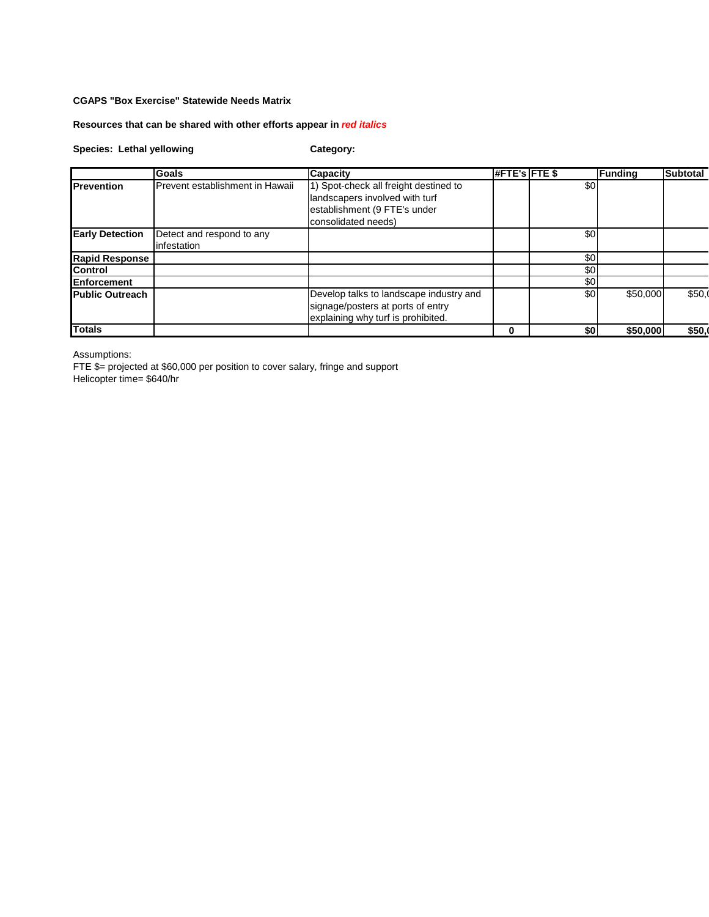# **Resources that can be shared with other efforts appear in** *red italics*

# **Species: Lethal yellowing Category:**

|                        | Goals                                  | <b>Capacity</b>                         | #FTE's FTE \$ |     | <b>Funding</b> | <b>Subtotal</b> |
|------------------------|----------------------------------------|-----------------------------------------|---------------|-----|----------------|-----------------|
| <b>Prevention</b>      | <b>Prevent establishment in Hawaii</b> | 1) Spot-check all freight destined to   |               | \$0 |                |                 |
|                        |                                        | landscapers involved with turf          |               |     |                |                 |
|                        |                                        | establishment (9 FTE's under            |               |     |                |                 |
|                        |                                        | consolidated needs)                     |               |     |                |                 |
| <b>Early Detection</b> | Detect and respond to any              |                                         |               | \$0 |                |                 |
|                        | linfestation                           |                                         |               |     |                |                 |
| <b>Rapid Response</b>  |                                        |                                         |               | \$0 |                |                 |
| <b>Control</b>         |                                        |                                         |               | \$0 |                |                 |
| Enforcement            |                                        |                                         |               | \$0 |                |                 |
| <b>Public Outreach</b> |                                        | Develop talks to landscape industry and |               | \$0 | \$50,000       | \$50.0          |
|                        |                                        | signage/posters at ports of entry       |               |     |                |                 |
|                        |                                        | explaining why turf is prohibited.      |               |     |                |                 |
| <b>Totals</b>          |                                        |                                         | 0             | \$0 | \$50,000       | \$50,           |

Assumptions:

FTE \$= projected at \$60,000 per position to cover salary, fringe and support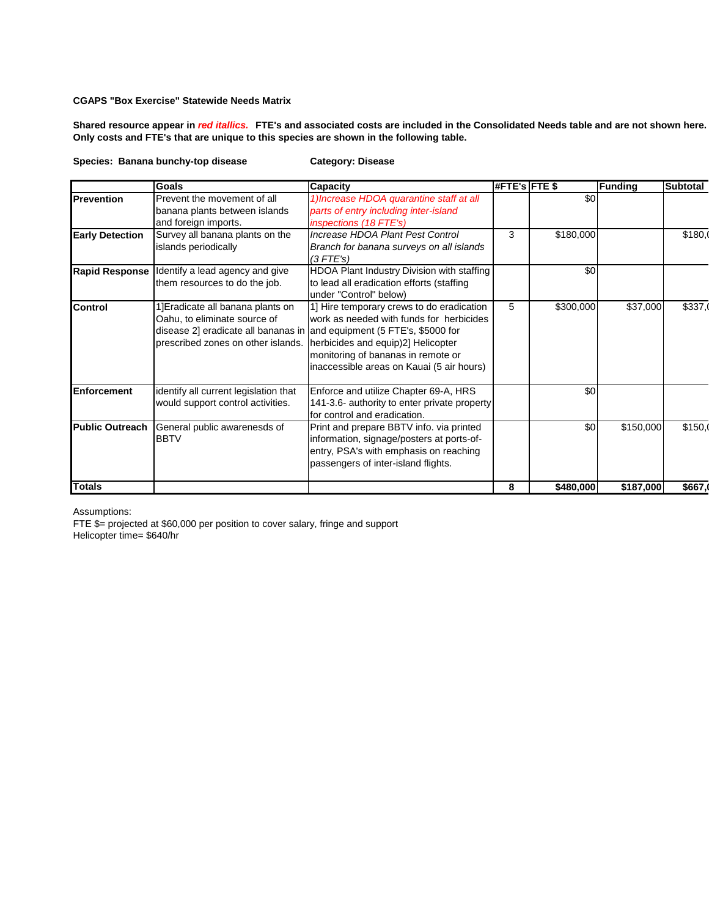**Shared resource appear in** *red itallics.* **FTE's and associated costs are included in the Consolidated Needs table and are not shown here. Only costs and FTE's that are unique to this species are shown in the following table.**

### **Species: Banana bunchy-top disease Category: Disease**

|                        | <b>Goals</b>                                                                                            | Capacity                                                                                                                                                                                                                                                                                 | #FTE's FTE \$ |           | <b>Funding</b>        | <b>Subtotal</b> |
|------------------------|---------------------------------------------------------------------------------------------------------|------------------------------------------------------------------------------------------------------------------------------------------------------------------------------------------------------------------------------------------------------------------------------------------|---------------|-----------|-----------------------|-----------------|
| <b>Prevention</b>      | Prevent the movement of all<br>banana plants between islands                                            | 1) Increase HDOA quarantine staff at all<br>parts of entry including inter-island                                                                                                                                                                                                        |               | \$0       |                       |                 |
|                        | and foreign imports.                                                                                    | <i>inspections (18 FTE's)</i>                                                                                                                                                                                                                                                            |               |           |                       |                 |
| <b>Early Detection</b> | Survey all banana plants on the                                                                         | Increase HDOA Plant Pest Control                                                                                                                                                                                                                                                         | 3             | \$180,000 |                       | \$180,0         |
|                        | islands periodically                                                                                    | Branch for banana surveys on all islands<br>$(3$ FTE's)                                                                                                                                                                                                                                  |               |           |                       |                 |
| <b>Rapid Response</b>  | Identify a lead agency and give<br>them resources to do the job.                                        | HDOA Plant Industry Division with staffing<br>to lead all eradication efforts (staffing<br>under "Control" below)                                                                                                                                                                        |               | \$0       |                       |                 |
| Control                | 1] Eradicate all banana plants on<br>Oahu, to eliminate source of<br>prescribed zones on other islands. | 1] Hire temporary crews to do eradication<br>work as needed with funds for herbicides<br>disease 2] eradicate all bananas in and equipment (5 FTE's, \$5000 for<br>herbicides and equip)2] Helicopter<br>monitoring of bananas in remote or<br>inaccessible areas on Kauai (5 air hours) | 5             | \$300,000 | \$37,000              | \$337,0         |
| <b>Enforcement</b>     | identify all current legislation that<br>would support control activities.                              | Enforce and utilize Chapter 69-A, HRS<br>141-3.6- authority to enter private property<br>for control and eradication.                                                                                                                                                                    |               | \$0       |                       |                 |
| <b>Public Outreach</b> | General public awarenesds of<br><b>BBTV</b>                                                             | Print and prepare BBTV info. via printed<br>information, signage/posters at ports-of-<br>entry, PSA's with emphasis on reaching<br>passengers of inter-island flights.                                                                                                                   |               | \$0       | $\overline{$}150,000$ | \$150,0         |
| <b>Totals</b>          |                                                                                                         |                                                                                                                                                                                                                                                                                          | 8             | \$480,000 | \$187,000             | \$667,          |

Assumptions:

FTE \$= projected at \$60,000 per position to cover salary, fringe and support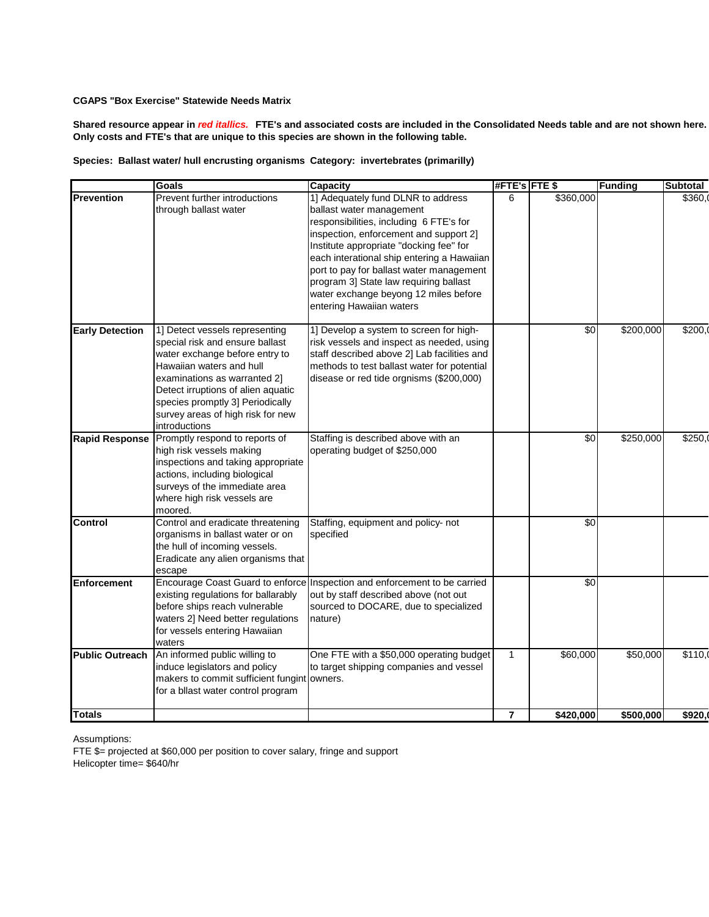**Shared resource appear in** *red itallics.* **FTE's and associated costs are included in the Consolidated Needs table and are not shown here. Only costs and FTE's that are unique to this species are shown in the following table.**

| Species: Ballast water/ hull encrusting organisms Category: invertebrates (primarilly) |  |  |
|----------------------------------------------------------------------------------------|--|--|
|----------------------------------------------------------------------------------------|--|--|

|                        | Goals                                                                                                                                                                                                                                                                                           | <b>Capacity</b>                                                                                                                                                                                                                                                                                                                                                                                         | #FTE's FTE \$  |                 | <b>Funding</b> | <b>Subtotal</b> |
|------------------------|-------------------------------------------------------------------------------------------------------------------------------------------------------------------------------------------------------------------------------------------------------------------------------------------------|---------------------------------------------------------------------------------------------------------------------------------------------------------------------------------------------------------------------------------------------------------------------------------------------------------------------------------------------------------------------------------------------------------|----------------|-----------------|----------------|-----------------|
| <b>Prevention</b>      | Prevent further introductions<br>through ballast water                                                                                                                                                                                                                                          | 1] Adequately fund DLNR to address<br>ballast water management<br>responsibilities, including 6 FTE's for<br>inspection, enforcement and support 2]<br>Institute appropriate "docking fee" for<br>each interational ship entering a Hawaiian<br>port to pay for ballast water management<br>program 3] State law requiring ballast<br>water exchange beyong 12 miles before<br>entering Hawaiian waters | 6              | \$360,000       |                | \$360.0         |
| <b>Early Detection</b> | 1] Detect vessels representing<br>special risk and ensure ballast<br>water exchange before entry to<br>Hawaiian waters and hull<br>examinations as warranted 2]<br>Detect irruptions of alien aquatic<br>species promptly 3] Periodically<br>survey areas of high risk for new<br>introductions | 1] Develop a system to screen for high-<br>risk vessels and inspect as needed, using<br>staff described above 2] Lab facilities and<br>methods to test ballast water for potential<br>disease or red tide orgnisms (\$200,000)                                                                                                                                                                          |                | \$0             | \$200,000      | \$200.0         |
| <b>Rapid Response</b>  | Promptly respond to reports of<br>high risk vessels making<br>inspections and taking appropriate<br>actions, including biological<br>surveys of the immediate area<br>where high risk vessels are<br>moored.                                                                                    | Staffing is described above with an<br>operating budget of \$250,000                                                                                                                                                                                                                                                                                                                                    |                | \$0             | \$250,000      | \$250,          |
| <b>Control</b>         | Control and eradicate threatening<br>organisms in ballast water or on<br>the hull of incoming vessels.<br>Eradicate any alien organisms that<br>escape                                                                                                                                          | Staffing, equipment and policy- not<br>specified                                                                                                                                                                                                                                                                                                                                                        |                | $\overline{50}$ |                |                 |
| Enforcement            | existing regulations for ballarably<br>before ships reach vulnerable<br>waters 2] Need better regulations<br>for vessels entering Hawaiian<br>waters                                                                                                                                            | Encourage Coast Guard to enforce Inspection and enforcement to be carried<br>out by staff described above (not out<br>sourced to DOCARE, due to specialized<br>nature)                                                                                                                                                                                                                                  |                | $\sqrt{6}$      |                |                 |
| <b>Public Outreach</b> | An informed public willing to<br>induce legislators and policy<br>makers to commit sufficient fungint owners.<br>for a bllast water control program                                                                                                                                             | One FTE with a \$50,000 operating budget<br>to target shipping companies and vessel                                                                                                                                                                                                                                                                                                                     | $\mathbf{1}$   | \$60,000        | \$50,000       | \$110,0         |
| <b>Totals</b>          |                                                                                                                                                                                                                                                                                                 |                                                                                                                                                                                                                                                                                                                                                                                                         | $\overline{7}$ | \$420,000       | \$500,000      | \$920,          |

Assumptions: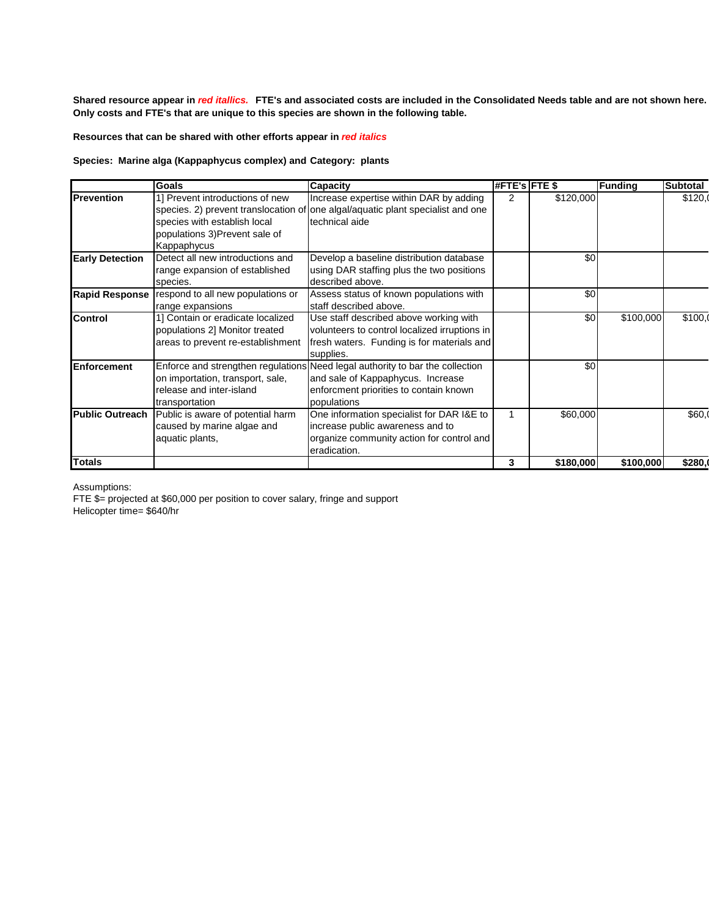**Shared resource appear in** *red itallics.* **FTE's and associated costs are included in the Consolidated Needs table and are not shown here. Only costs and FTE's that are unique to this species are shown in the following table.**

**Resources that can be shared with other efforts appear in** *red italics*

# **Species: Marine alga (Kappaphycus complex) and Category: plants**

|                        | <b>Goals</b>                      | <b>Capacity</b>                                                                 | <b>#FTE's FTE \$</b> |           | <b>Funding</b> | Subtotal |
|------------------------|-----------------------------------|---------------------------------------------------------------------------------|----------------------|-----------|----------------|----------|
| Prevention             | 1] Prevent introductions of new   | Increase expertise within DAR by adding                                         | 2                    | \$120,000 |                | \$120,0  |
|                        |                                   | species. 2) prevent translocation of one algal/aquatic plant specialist and one |                      |           |                |          |
|                        | species with establish local      | technical aide                                                                  |                      |           |                |          |
|                        | populations 3)Prevent sale of     |                                                                                 |                      |           |                |          |
|                        | Kappaphycus                       |                                                                                 |                      |           |                |          |
| <b>Early Detection</b> | Detect all new introductions and  | Develop a baseline distribution database                                        |                      | \$0       |                |          |
|                        | range expansion of established    | using DAR staffing plus the two positions                                       |                      |           |                |          |
|                        | species.                          | described above.                                                                |                      |           |                |          |
| <b>Rapid Response</b>  | respond to all new populations or | Assess status of known populations with                                         |                      | \$0       |                |          |
|                        | range expansions                  | staff described above.                                                          |                      |           |                |          |
| <b>Control</b>         | 1] Contain or eradicate localized | Use staff described above working with                                          |                      | \$0       | \$100,000      | \$100.0  |
|                        | populations 2] Monitor treated    | volunteers to control localized irruptions in                                   |                      |           |                |          |
|                        | areas to prevent re-establishment | fresh waters. Funding is for materials and                                      |                      |           |                |          |
|                        |                                   | supplies.                                                                       |                      |           |                |          |
| <b>Enforcement</b>     |                                   | Enforce and strengthen regulations Need legal authority to bar the collection   |                      | \$0       |                |          |
|                        | on importation, transport, sale,  | and sale of Kappaphycus. Increase                                               |                      |           |                |          |
|                        | release and inter-island          | enforcment priorities to contain known                                          |                      |           |                |          |
|                        | transportation                    | populations                                                                     |                      |           |                |          |
| <b>Public Outreach</b> | Public is aware of potential harm | One information specialist for DAR I&E to                                       |                      | \$60,000  |                | \$60.0   |
|                        | caused by marine algae and        | increase public awareness and to                                                |                      |           |                |          |
|                        | aquatic plants,                   | organize community action for control and                                       |                      |           |                |          |
|                        |                                   | eradication.                                                                    |                      |           |                |          |
| <b>Totals</b>          |                                   |                                                                                 | 3                    | \$180,000 | \$100,000      | \$280.   |

Assumptions:

FTE \$= projected at \$60,000 per position to cover salary, fringe and support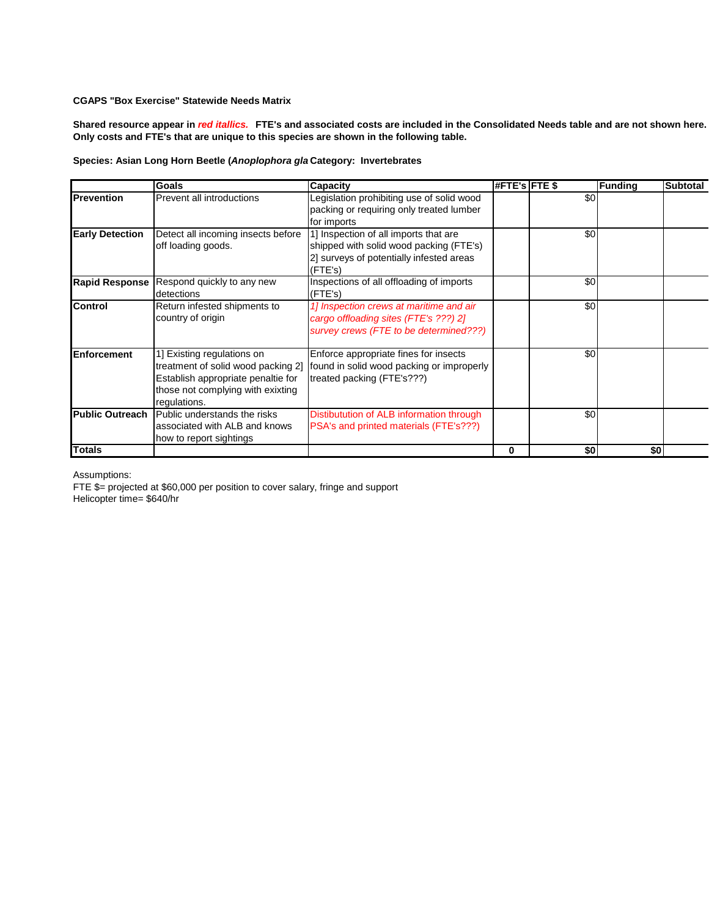**Shared resource appear in** *red itallics.* **FTE's and associated costs are included in the Consolidated Needs table and are not shown here. Only costs and FTE's that are unique to this species are shown in the following table.**

# **Species: Asian Long Horn Beetle (***Anoplophora glabripennis)* **Category: Invertebrates**

|                        | <b>Goals</b>                                                                                                                                                | <b>Capacity</b>                                                                                                                         | #FTE's FTE \$ |     | Funding | <b>Subtotal</b> |
|------------------------|-------------------------------------------------------------------------------------------------------------------------------------------------------------|-----------------------------------------------------------------------------------------------------------------------------------------|---------------|-----|---------|-----------------|
| <b>Prevention</b>      | Prevent all introductions                                                                                                                                   | Legislation prohibiting use of solid wood<br>packing or requiring only treated lumber<br>for imports                                    |               | \$0 |         |                 |
| <b>Early Detection</b> | Detect all incoming insects before<br>off loading goods.                                                                                                    | 1] Inspection of all imports that are<br>shipped with solid wood packing (FTE's)<br>2] surveys of potentially infested areas<br>(FTE's) |               | \$0 |         |                 |
|                        | Rapid Response Respond quickly to any new<br>detections                                                                                                     | Inspections of all offloading of imports<br>$($ FTE's $)$                                                                               |               | \$0 |         |                 |
| <b>Control</b>         | Return infested shipments to<br>country of origin                                                                                                           | 1] Inspection crews at maritime and air<br>cargo offloading sites (FTE's ???) 2]<br>survey crews (FTE to be determined???)              |               | \$0 |         |                 |
| <b>Enforcement</b>     | 1] Existing regulations on<br>treatment of solid wood packing 2]<br>Establish appropriate penaltie for<br>those not complying with exixting<br>regulations. | Enforce appropriate fines for insects<br>found in solid wood packing or improperly<br>treated packing (FTE's???)                        |               | \$0 |         |                 |
| <b>Public Outreach</b> | Public understands the risks<br>associated with ALB and knows<br>how to report sightings                                                                    | Distibutution of ALB information through<br>PSA's and printed materials (FTE's???)                                                      |               | \$0 |         |                 |
| Totals                 |                                                                                                                                                             |                                                                                                                                         | 0             | \$0 | \$0     |                 |

Assumptions: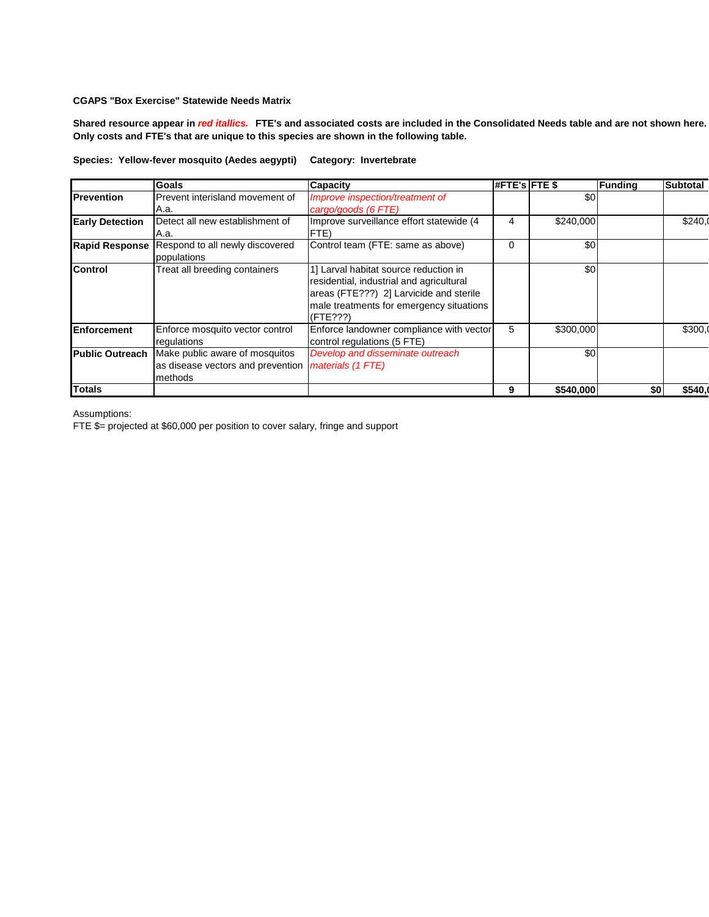**Shared resource appear in** *red itallics.* **FTE's and associated costs are included in the Consolidated Needs table and are not shown here. Only costs and FTE's that are unique to this species are shown in the following table.**

|                        | <b>Goals</b>                                                                   | <b>Capacity</b>                                                                                                                                                                      | $#$ FTE's FTE \$ |           | Funding | <b>Subtotal</b> |
|------------------------|--------------------------------------------------------------------------------|--------------------------------------------------------------------------------------------------------------------------------------------------------------------------------------|------------------|-----------|---------|-----------------|
| <b>IPrevention</b>     | Prevent interisland movement of<br>A.a.                                        | Improve inspection/treatment of<br>cargo/goods (6 FTE)                                                                                                                               |                  | \$0       |         |                 |
| <b>Early Detection</b> | Detect all new establishment of<br>A.a.                                        | Improve surveillance effort statewide (4)<br>FTE)                                                                                                                                    | 4                | \$240,000 |         | \$240.0         |
| <b>Rapid Response</b>  | Respond to all newly discovered<br>populations                                 | Control team (FTE: same as above)                                                                                                                                                    | 0                | \$0       |         |                 |
| <b>Control</b>         | Treat all breeding containers                                                  | 1] Larval habitat source reduction in<br>residential, industrial and agricultural<br>areas (FTE???) 2] Larvicide and sterile<br>male treatments for emergency situations<br>(FTE???) |                  | \$0       |         |                 |
| Enforcement            | Enforce mosquito vector control<br>regulations                                 | Enforce landowner compliance with vector<br>control regulations (5 FTE)                                                                                                              | 5                | \$300,000 |         | \$300,0         |
| <b>Public Outreach</b> | Make public aware of mosquitos<br>as disease vectors and prevention<br>methods | Develop and disseminate outreach<br>materials (1 FTE)                                                                                                                                |                  | \$0       |         |                 |
| <b>Totals</b>          |                                                                                |                                                                                                                                                                                      | 9                | \$540,000 | \$0     | \$540.0         |

Assumptions:

FTE \$= projected at \$60,000 per position to cover salary, fringe and support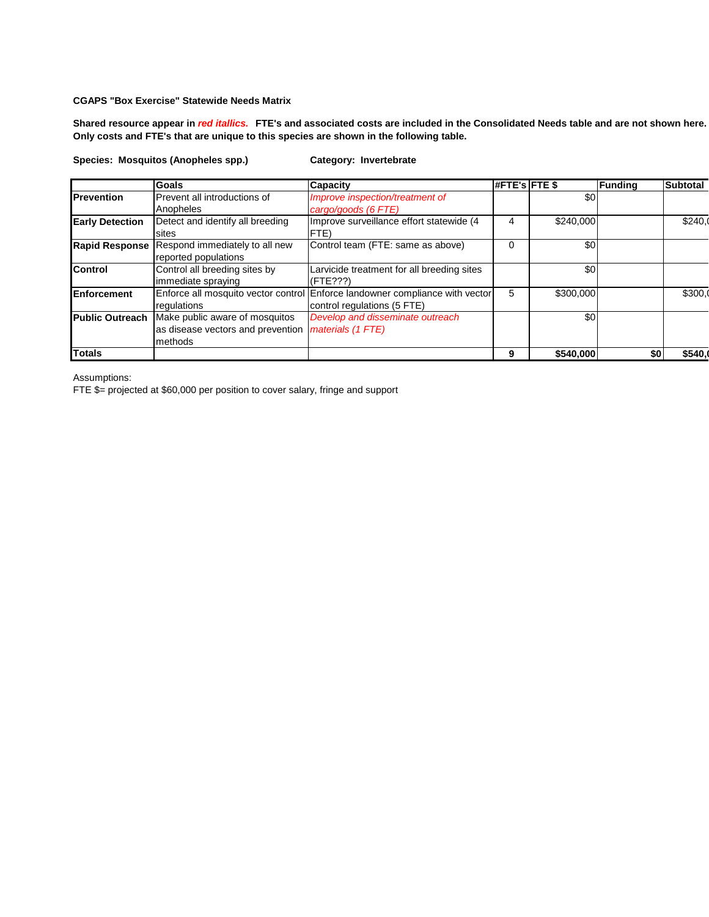**Shared resource appear in** *red itallics.* **FTE's and associated costs are included in the Consolidated Needs table and are not shown here. Only costs and FTE's that are unique to this species are shown in the following table.**

**Species: Mosquitos (Anopheles spp.) Category: Invertebrate**

|                        | Goals                             | <b>Capacity</b>                                                              | #FTE's FTE \$ |           | <b>Funding</b> | <b>Subtotal</b> |
|------------------------|-----------------------------------|------------------------------------------------------------------------------|---------------|-----------|----------------|-----------------|
| <b>Prevention</b>      | Prevent all introductions of      | Improve inspection/treatment of                                              |               | \$0       |                |                 |
|                        | Anopheles                         | cargo/goods (6 FTE)                                                          |               |           |                |                 |
| <b>Early Detection</b> | Detect and identify all breeding  | Improve surveillance effort statewide (4                                     | 4             | \$240,000 |                | \$240.0         |
|                        | sites                             | FTE)                                                                         |               |           |                |                 |
| <b>Rapid Response</b>  | Respond immediately to all new    | Control team (FTE: same as above)                                            | $\Omega$      | \$0       |                |                 |
|                        | reported populations              |                                                                              |               |           |                |                 |
| <b>Control</b>         | Control all breeding sites by     | Larvicide treatment for all breeding sites                                   |               | \$0       |                |                 |
|                        | immediate spraying                | (FTE???)                                                                     |               |           |                |                 |
| <b>Enforcement</b>     |                                   | Enforce all mosquito vector control Enforce landowner compliance with vector | 5             | \$300,000 |                | \$300,0         |
|                        | regulations                       | control regulations (5 FTE)                                                  |               |           |                |                 |
| <b>Public Outreach</b> | Make public aware of mosquitos    | Develop and disseminate outreach                                             |               | \$0       |                |                 |
|                        | as disease vectors and prevention | materials (1 FTE)                                                            |               |           |                |                 |
|                        | methods                           |                                                                              |               |           |                |                 |
| <b>Totals</b>          |                                   |                                                                              | 9             | \$540,000 |                | \$540.          |

Assumptions:

FTE \$= projected at \$60,000 per position to cover salary, fringe and support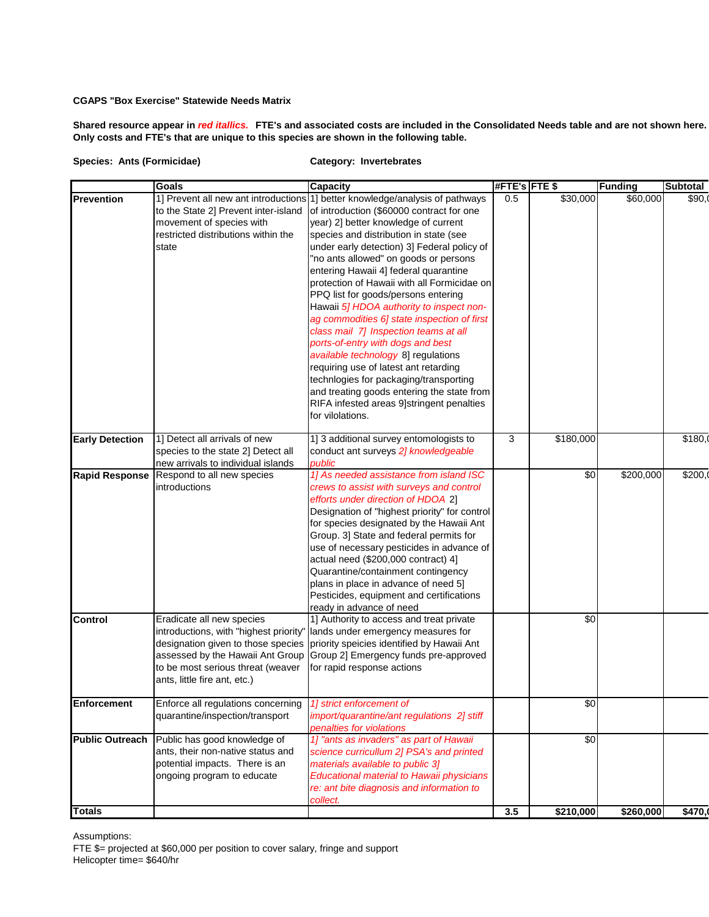**Shared resource appear in** *red itallics.* **FTE's and associated costs are included in the Consolidated Needs table and are not shown here. Only costs and FTE's that are unique to this species are shown in the following table.**

#### **Species: Ants (Formicidae) Category: Invertebrates**

|                                      | Goals                                                                                                                                                                                                              | <b>Capacity</b>                                                                                                                                                                                                                                                                                                                                                                                                                                                                                                                                                                                                                                                                                                                                                                                                                                                                                  | #FTE's FTE \$ |                       | <b>Funding</b> | <b>Subtotal</b>  |
|--------------------------------------|--------------------------------------------------------------------------------------------------------------------------------------------------------------------------------------------------------------------|--------------------------------------------------------------------------------------------------------------------------------------------------------------------------------------------------------------------------------------------------------------------------------------------------------------------------------------------------------------------------------------------------------------------------------------------------------------------------------------------------------------------------------------------------------------------------------------------------------------------------------------------------------------------------------------------------------------------------------------------------------------------------------------------------------------------------------------------------------------------------------------------------|---------------|-----------------------|----------------|------------------|
| Prevention<br><b>Early Detection</b> | to the State 2] Prevent inter-island<br>movement of species with<br>restricted distributions within the<br>state<br>1] Detect all arrivals of new                                                                  | 1] Prevent all new ant introductions 1] better knowledge/analysis of pathways<br>of introduction (\$60000 contract for one<br>year) 2] better knowledge of current<br>species and distribution in state (see<br>under early detection) 3] Federal policy of<br>"no ants allowed" on goods or persons<br>entering Hawaii 4] federal quarantine<br>protection of Hawaii with all Formicidae on<br>PPQ list for goods/persons entering<br>Hawaii 5] HDOA authority to inspect non-<br>ag commodities 6] state inspection of first<br>class mail 7] Inspection teams at all<br>ports-of-entry with dogs and best<br>available technology 8] regulations<br>requiring use of latest ant retarding<br>technlogies for packaging/transporting<br>and treating goods entering the state from<br>RIFA infested areas 9]stringent penalties<br>for vilolations.<br>1] 3 additional survey entomologists to | 0.5<br>3      | \$30,000<br>\$180,000 | \$60,000       | \$90,<br>\$180,0 |
|                                      | species to the state 2] Detect all<br>new arrivals to individual islands                                                                                                                                           | conduct ant surveys 2] knowledgeable<br>public                                                                                                                                                                                                                                                                                                                                                                                                                                                                                                                                                                                                                                                                                                                                                                                                                                                   |               |                       |                |                  |
| <b>Rapid Response</b>                | Respond to all new species<br>introductions                                                                                                                                                                        | 1] As needed assistance from island ISC<br>crews to assist with surveys and control<br>efforts under direction of HDOA 2]<br>Designation of "highest priority" for control<br>for species designated by the Hawaii Ant<br>Group. 3] State and federal permits for<br>use of necessary pesticides in advance of<br>actual need (\$200,000 contract) 4]<br>Quarantine/containment contingency<br>plans in place in advance of need 5]<br>Pesticides, equipment and certifications<br>ready in advance of need                                                                                                                                                                                                                                                                                                                                                                                      |               | \$0                   | \$200,000      | \$200,           |
| Control                              | Eradicate all new species<br>introductions, with "highest priority"<br>designation given to those species<br>assessed by the Hawaii Ant Group<br>to be most serious threat (weaver<br>ants, little fire ant, etc.) | 1] Authority to access and treat private<br>lands under emergency measures for<br>priority speicies identified by Hawaii Ant<br>Group 2] Emergency funds pre-approved<br>for rapid response actions                                                                                                                                                                                                                                                                                                                                                                                                                                                                                                                                                                                                                                                                                              |               | \$0                   |                |                  |
| <b>Enforcement</b>                   | Enforce all regulations concerning<br>quarantine/inspection/transport                                                                                                                                              | 1] strict enforcement of<br>import/quarantine/ant regulations 2] stiff<br>penalties for violations                                                                                                                                                                                                                                                                                                                                                                                                                                                                                                                                                                                                                                                                                                                                                                                               |               | $\sqrt[6]{3}$         |                |                  |
| <b>Public Outreach</b><br>Totals     | Public has good knowledge of<br>ants, their non-native status and<br>potential impacts. There is an<br>ongoing program to educate                                                                                  | 1] "ants as invaders" as part of Hawaii<br>science curricullum 2] PSA's and printed<br>materials available to public 3]<br>Educational material to Hawaii physicians<br>re: ant bite diagnosis and information to<br>collect.                                                                                                                                                                                                                                                                                                                                                                                                                                                                                                                                                                                                                                                                    | 3.5           | \$0<br>\$210,000      |                | \$470,           |
|                                      |                                                                                                                                                                                                                    |                                                                                                                                                                                                                                                                                                                                                                                                                                                                                                                                                                                                                                                                                                                                                                                                                                                                                                  |               |                       | \$260,000      |                  |

Assumptions: